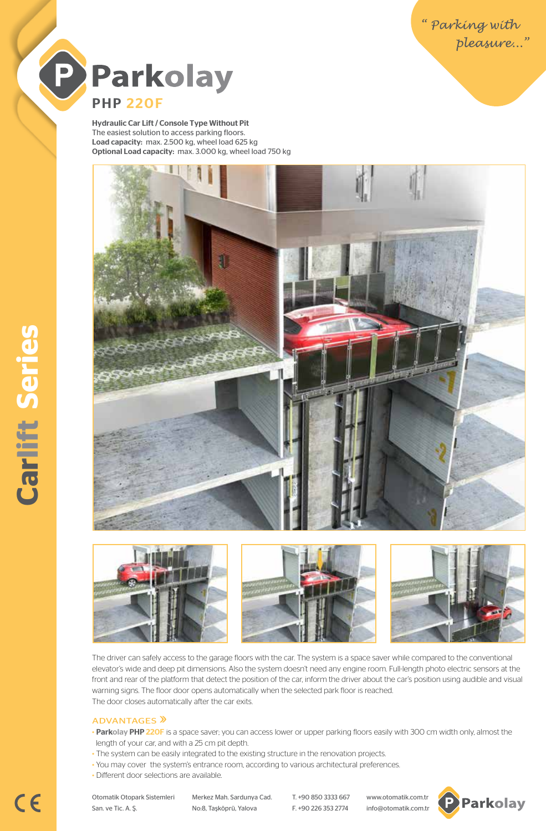" Parking with<br>" pleasure..."



Hydraulic Car Lift / Console Type Without Pit The easiest solution to access parking floors. Load capacity: max. 2.500 kg, wheel load 625 kg Optional Load capacity: max. 3.000 kg, wheel load 750 kg









The driver can safely access to the garage floors with the car. The system is a space saver while compared to the conventional elevator's wide and deep pit dimensions. Also the system doesn't need any engine room. Full-length photo electric sensors at the front and rear of the platform that detect the position of the car, inform the driver about the car's position using audible and visual warning signs. The floor door opens automatically when the selected park floor is reached. The door closes automatically after the car exits.

## ADVANTAGES<sup>></sup>

- Parkolay PHP 220F is a space saver; you can access lower or upper parking floors easily with 300 cm width only, almost the length of your car, and with a 25 cm pit depth.
- The system can be easily integrated to the existing structure in the renovation projects.
- You may cover the system's entrance room, according to various architectural preferences.
- Different door selections are available.

San. ve Tic. A. Ş. No:8, Taşköprü, Yalova F. +90 226 353 2774 info@otomatik.com.tr

Otomatik Otopark Sistemleri Merkez Mah. Sardunya Cad. T. +90 850 3333 667 www.otomatik.com.tr



 $C \in$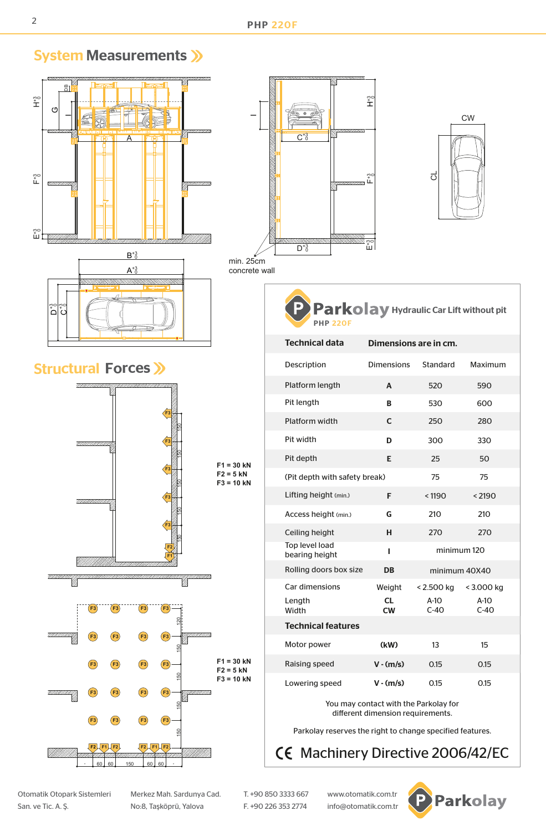

Otomatik Otopark Sistemleri Merkez Mah. Sardunya Cad. T. +90 850 3333 667 www.otomatik.com.tr San. ve Tic. A. Ş. No:8, Taşköprü, Yalova F. +90 226 353 2774 info@otomatik.com.tr



System Measurements >>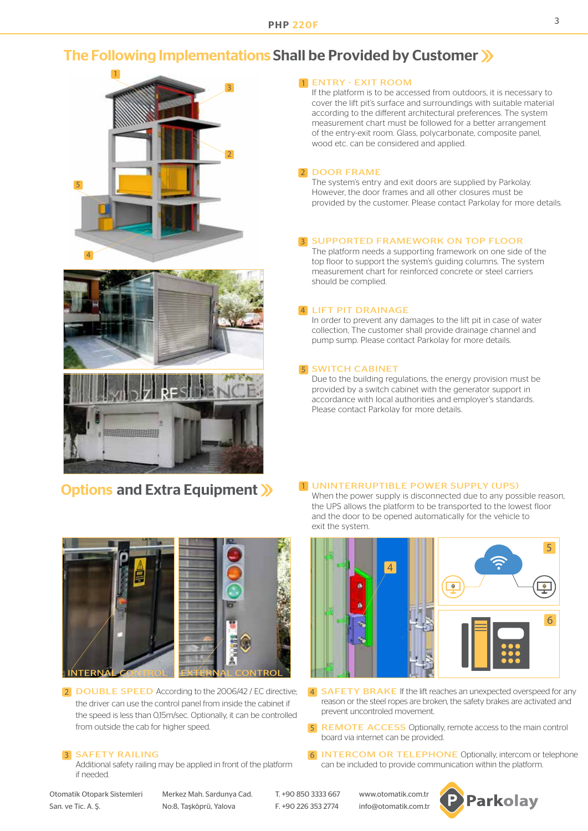# The Following Implementations Shall be Provided by Customer







# Options and Extra Equipment >>



**2** DOUBLE SPEED According to the 2006/42 / EC directive; the driver can use the control panel from inside the cabinet if the speed is less than 0,15m/sec. Optionally, it can be controlled from outside the cab for higher speed.

## **3 SAFETY RAILING**

Additional safety railing may be applied in front of the platform if needed.

1 ENTRY - EXIT ROOM

If the platform is to be accessed from outdoors, it is necessary to cover the lift pit's surface and surroundings with suitable material according to the different architectural preferences. The system measurement chart must be followed for a better arrangement of the entry-exit room. Glass, polycarbonate, composite panel, wood etc. can be considered and applied.

### 2 DOOR FRAME

The system's entry and exit doors are supplied by Parkolay. However, the door frames and all other closures must be provided by the customer. Please contact Parkolay for more details.

### **3 SUPPORTED FRAMEWORK ON TOP FLOOR**

The platform needs a supporting framework on one side of the top floor to support the system's guiding columns. The system measurement chart for reinforced concrete or steel carriers should be complied.

### 4 LIFT PIT DRAINAGE

In order to prevent any damages to the lift pit in case of water collection, The customer shall provide drainage channel and pump sump. Please contact Parkolay for more details.

### **5 SWITCH CABINET**

Due to the building regulations, the energy provision must be provided by a switch cabinet with the generator support in accordance with local authorities and employer's standards. Please contact Parkolay for more details.

### 1 UNINTERRUPTIBLE POWER SUPPLY (UPS)

When the power supply is disconnected due to any possible reason, the UPS allows the platform to be transported to the lowest floor and the door to be opened automatically for the vehicle to exit the system.



- 2 DOUBLE SPEED According to the 2006/42 / EC directive; 4 SAFETY BRAKE If the lift reaches an unexpected overspeed for any reason or the steel ropes are broken, the safety brakes are activated and prevent uncontroled movement.
	- 5 REMOTE ACCESS Optionally, remote access to the main control board via internet can be provided.
	- 6 **INTERCOM OR TELEPHONE** Optionally, intercom or telephone can be included to provide communication within the platform.

Otomatik Otopark Sistemleri Merkez Mah. Sardunya Cad. T. +90 850 3333 667 www.otomatik.com.tr San. ve Tic. A. Ş. No:8, Taşköprü, Yalova F. +90 226 353 2774 info@otomatik.com.tr

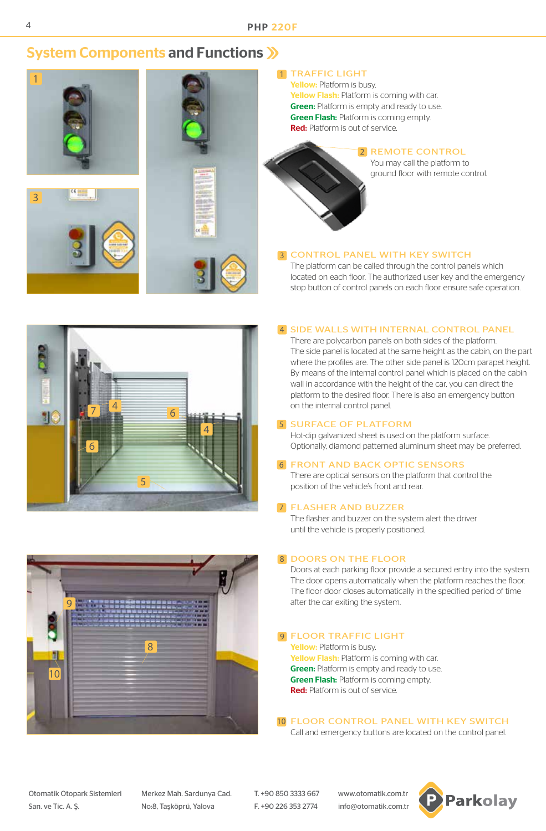# System Components and Functions >>>



## 1 TRAFFIC LIGHT

Yellow: Platform is busy. Yellow Flash: Platform is coming with car. **Green:** Platform is empty and ready to use. **Green Flash: Platform is coming empty.** Red: Platform is out of service.



### 2 REMOTE CONTROL

You may call the platform to ground floor with remote control.

## **3 CONTROL PANEL WITH KEY SWITCH**

The platform can be called through the control panels which located on each floor. The authorized user key and the emergency stop button of control panels on each floor ensure safe operation.

## 4 SIDE WALLS WITH INTERNAL CONTROL PANEL



There are polycarbon panels on both sides of the platform. The side panel is located at the same height as the cabin, on the part where the profiles are. The other side panel is 120cm parapet height. By means of the internal control panel which is placed on the cabin wall in accordance with the height of the car, you can direct the platform to the desired floor. There is also an emergency button on the internal control panel.

### **5 SURFACE OF PLATFORM**

Hot-dip galvanized sheet is used on the platform surface. Optionally, diamond patterned aluminum sheet may be preferred.

### **6 FRONT AND BACK OPTIC SENSORS**

There are optical sensors on the platform that control the position of the vehicle's front and rear.

### 7 FLASHER AND BUZZER

The flasher and buzzer on the system alert the driver until the vehicle is properly positioned.

## 8 DOORS ON THE FLOOR

Doors at each parking floor provide a secured entry into the system. The door opens automatically when the platform reaches the floor. The floor door closes automatically in the specified period of time after the car exiting the system.

## **9 FLOOR TRAFFIC LIGHT**

Yellow: Platform is busy. Yellow Flash: Platform is coming with car. **Green:** Platform is empty and ready to use. **Green Flash:** Platform is coming empty. Red: Platform is out of service.

10 FLOOR CONTROL PANEL WITH KEY SWITCH

Call and emergency buttons are located on the control panel.



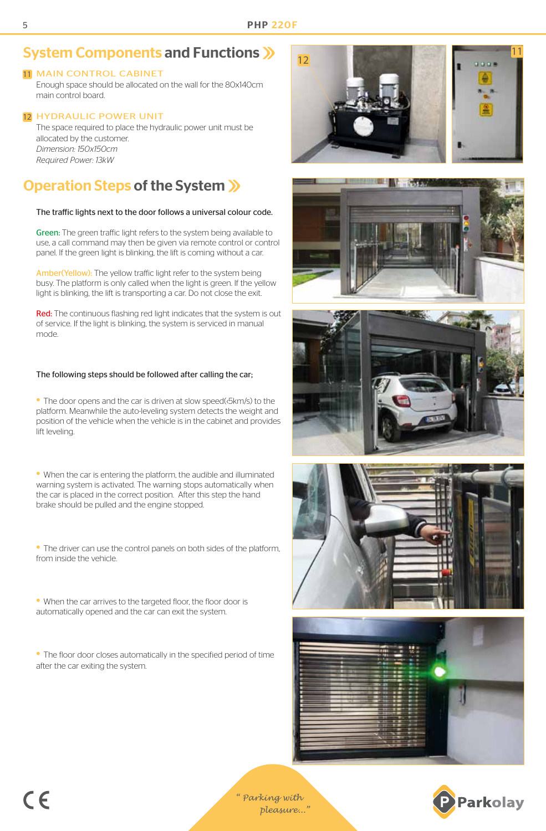# System Components and Functions >>>

## 11 MAIN CONTROL CABINET

Enough space should be allocated on the wall for the 80x140cm main control board.

## 12 HYDRAULIC POWER UNIT

The space required to place the hydraulic power unit must be allocated by the customer. *Dimension: 150x150cm Required Power: 13kW*

# Operation Steps of the System

### The traffic lights next to the door follows a universal colour code.

Green: The green traffic light refers to the system being available to use, a call command may then be given via remote control or control panel. If the green light is blinking, the lift is coming without a car.

Amber(Yellow): The yellow traffic light refer to the system being busy. The platform is only called when the light is green. If the yellow light is blinking, the lift is transporting a car. Do not close the exit.

Red: The continuous flashing red light indicates that the system is out of service. If the light is blinking, the system is serviced in manual mode.

## The following steps should be followed after calling the car;

• The door opens and the car is driven at slow speed(<5km/s) to the platform. Meanwhile the auto-leveling system detects the weight and position of the vehicle when the vehicle is in the cabinet and provides lift leveling.

• When the car is entering the platform, the audible and illuminated warning system is activated. The warning stops automatically when the car is placed in the correct position. After this step the hand brake should be pulled and the engine stopped.

• The driver can use the control panels on both sides of the platform, from inside the vehicle.

• When the car arrives to the targeted floor, the floor door is automatically opened and the car can exit the system.

• The floor door closes automatically in the specified period of time after the car exiting the system.













*" Parking with pleasure..."*